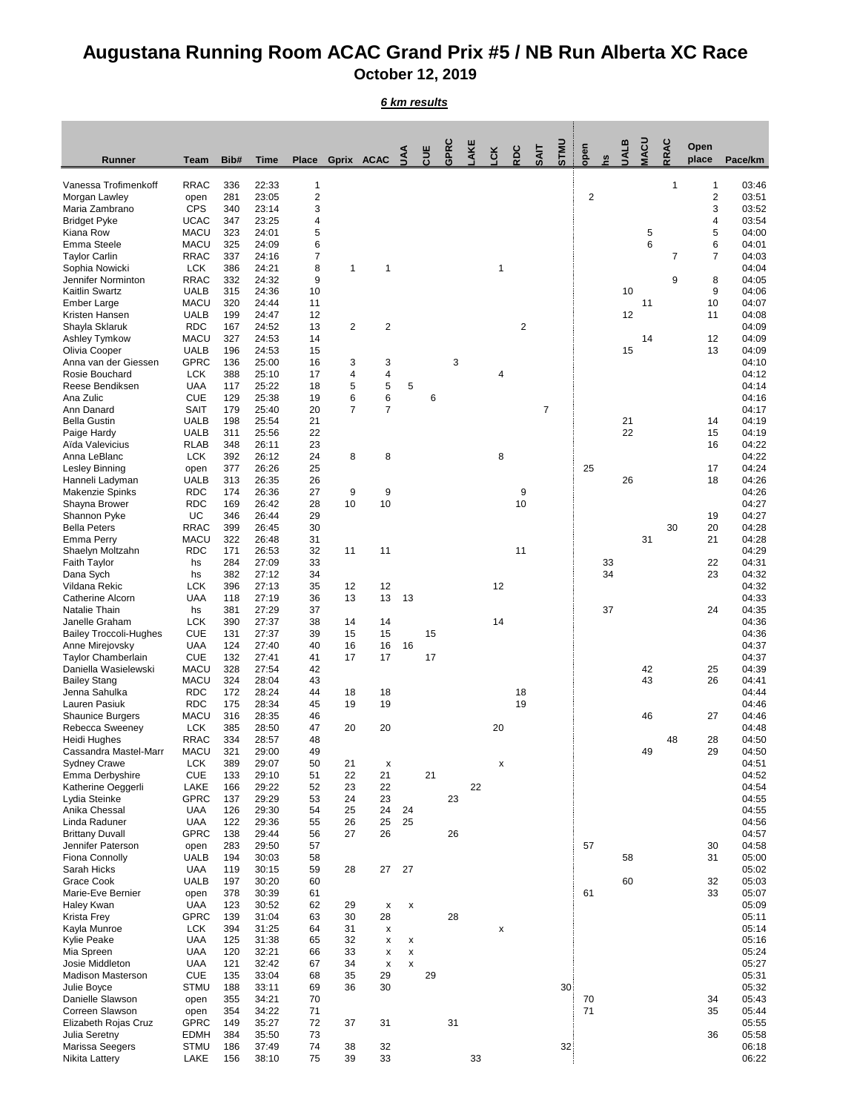## **Augustana Running Room ACAC Grand Prix #5 / NB Run Alberta XC Race October 12, 2019**

*6 km results*

| Runner                                      | Team                       | Bib#       | <b>Time</b>    | Place                   | Gprix ACAC     |                | Š        | ₹  | GPRC | AKE | š  | RDC | <b>SAIT</b>    | STMU | pen            |    |    | LACU     | RRAC           | Open<br>place           | Pace/km        |
|---------------------------------------------|----------------------------|------------|----------------|-------------------------|----------------|----------------|----------|----|------|-----|----|-----|----------------|------|----------------|----|----|----------|----------------|-------------------------|----------------|
| Vanessa Trofimenkoff                        | <b>RRAC</b>                | 336        | 22:33          | 1                       |                |                |          |    |      |     |    |     |                |      |                |    |    |          | $\mathbf{1}$   | 1                       | 03:46          |
| Morgan Lawley                               | open                       | 281        | 23:05          | $\overline{\mathbf{c}}$ |                |                |          |    |      |     |    |     |                |      | $\overline{2}$ |    |    |          |                | $\overline{\mathbf{c}}$ | 03:51          |
| Maria Zambrano                              | <b>CPS</b>                 | 340        | 23:14          | 3                       |                |                |          |    |      |     |    |     |                |      |                |    |    |          |                | 3                       | 03:52          |
| <b>Bridget Pyke</b>                         | <b>UCAC</b><br><b>MACU</b> | 347        | 23:25          | 4<br>5                  |                |                |          |    |      |     |    |     |                |      |                |    |    |          |                | 4                       | 03:54          |
| Kiana Row<br>Emma Steele                    | <b>MACU</b>                | 323<br>325 | 24:01<br>24:09 | 6                       |                |                |          |    |      |     |    |     |                |      |                |    |    | 5<br>6   |                | 5<br>6                  | 04:00<br>04:01 |
| <b>Taylor Carlin</b>                        | <b>RRAC</b>                | 337        | 24:16          | 7                       |                |                |          |    |      |     |    |     |                |      |                |    |    |          | $\overline{7}$ | $\overline{7}$          | 04:03          |
| Sophia Nowicki                              | <b>LCK</b>                 | 386        | 24:21          | 8                       | $\mathbf{1}$   | 1              |          |    |      |     | 1  |     |                |      |                |    |    |          |                |                         | 04:04          |
| Jennifer Norminton                          | <b>RRAC</b>                | 332        | 24:32          | 9                       |                |                |          |    |      |     |    |     |                |      |                |    |    |          | 9              | 8                       | 04:05          |
| Kaitlin Swartz                              | <b>UALB</b><br><b>MACU</b> | 315<br>320 | 24:36<br>24:44 | 10<br>11                |                |                |          |    |      |     |    |     |                |      |                |    | 10 | 11       |                | 9<br>10                 | 04:06<br>04:07 |
| Ember Large<br>Kristen Hansen               | <b>UALB</b>                | 199        | 24:47          | 12                      |                |                |          |    |      |     |    |     |                |      |                |    | 12 |          |                | 11                      | 04:08          |
| Shayla Sklaruk                              | <b>RDC</b>                 | 167        | 24:52          | 13                      | 2              | 2              |          |    |      |     |    | 2   |                |      |                |    |    |          |                |                         | 04:09          |
| Ashley Tymkow                               | <b>MACU</b>                | 327        | 24:53          | 14                      |                |                |          |    |      |     |    |     |                |      |                |    |    | 14       |                | 12                      | 04:09          |
| Olivia Cooper                               | <b>UALB</b>                | 196        | 24:53          | 15                      |                |                |          |    |      |     |    |     |                |      |                |    | 15 |          |                | 13                      | 04:09          |
| Anna van der Giessen<br>Rosie Bouchard      | <b>GPRC</b><br><b>LCK</b>  | 136<br>388 | 25:00<br>25:10 | 16<br>17                | 3<br>4         | 3<br>4         |          |    | 3    |     | 4  |     |                |      |                |    |    |          |                |                         | 04:10<br>04:12 |
| Reese Bendiksen                             | <b>UAA</b>                 | 117        | 25:22          | 18                      | 5              | 5              | 5        |    |      |     |    |     |                |      |                |    |    |          |                |                         | 04:14          |
| Ana Zulic                                   | <b>CUE</b>                 | 129        | 25:38          | 19                      | 6              | 6              |          | 6  |      |     |    |     |                |      |                |    |    |          |                |                         | 04:16          |
| Ann Danard                                  | <b>SAIT</b>                | 179        | 25:40          | 20                      | $\overline{7}$ | $\overline{7}$ |          |    |      |     |    |     | $\overline{7}$ |      |                |    |    |          |                |                         | 04:17          |
| <b>Bella Gustin</b>                         | <b>UALB</b>                | 198        | 25:54          | 21                      |                |                |          |    |      |     |    |     |                |      |                |    | 21 |          |                | 14                      | 04:19          |
| Paige Hardy<br>Aïda Valevicius              | <b>UALB</b><br><b>RLAB</b> | 311<br>348 | 25:56<br>26:11 | 22<br>23                |                |                |          |    |      |     |    |     |                |      |                |    | 22 |          |                | 15<br>16                | 04:19<br>04:22 |
| Anna LeBlanc                                | <b>LCK</b>                 | 392        | 26:12          | 24                      | 8              | 8              |          |    |      |     | 8  |     |                |      |                |    |    |          |                |                         | 04:22          |
| Lesley Binning                              | open                       | 377        | 26:26          | 25                      |                |                |          |    |      |     |    |     |                |      | 25             |    |    |          |                | 17                      | 04:24          |
| Hanneli Ladyman                             | <b>UALB</b>                | 313        | 26:35          | 26                      |                |                |          |    |      |     |    |     |                |      |                |    | 26 |          |                | 18                      | 04:26          |
| <b>Makenzie Spinks</b>                      | <b>RDC</b>                 | 174        | 26:36          | 27                      | 9              | 9              |          |    |      |     |    | 9   |                |      |                |    |    |          |                |                         | 04:26          |
| Shayna Brower                               | <b>RDC</b>                 | 169        | 26:42          | 28                      | 10             | 10             |          |    |      |     |    | 10  |                |      |                |    |    |          |                |                         | 04:27          |
| Shannon Pyke<br><b>Bella Peters</b>         | UC<br><b>RRAC</b>          | 346<br>399 | 26:44<br>26:45 | 29<br>30                |                |                |          |    |      |     |    |     |                |      |                |    |    |          | 30             | 19<br>20                | 04:27<br>04:28 |
| Emma Perry                                  | <b>MACU</b>                | 322        | 26:48          | 31                      |                |                |          |    |      |     |    |     |                |      |                |    |    | 31       |                | 21                      | 04:28          |
| Shaelyn Moltzahn                            | <b>RDC</b>                 | 171        | 26:53          | 32                      | 11             | 11             |          |    |      |     |    | 11  |                |      |                |    |    |          |                |                         | 04:29          |
| <b>Faith Taylor</b>                         | hs                         | 284        | 27:09          | 33                      |                |                |          |    |      |     |    |     |                |      |                | 33 |    |          |                | 22                      | 04:31          |
| Dana Sych                                   | hs                         | 382        | 27:12          | 34                      |                |                |          |    |      |     |    |     |                |      |                | 34 |    |          |                | 23                      | 04:32          |
| Vildana Rekic                               | <b>LCK</b>                 | 396        | 27:13          | 35                      | 12<br>13       | 12<br>13       |          |    |      |     | 12 |     |                |      |                |    |    |          |                |                         | 04:32          |
| Catherine Alcorn<br>Natalie Thain           | <b>UAA</b><br>hs           | 118<br>381 | 27:19<br>27:29 | 36<br>37                |                |                | 13       |    |      |     |    |     |                |      |                | 37 |    |          |                | 24                      | 04:33<br>04:35 |
| Janelle Graham                              | <b>LCK</b>                 | 390        | 27:37          | 38                      | 14             | 14             |          |    |      |     | 14 |     |                |      |                |    |    |          |                |                         | 04:36          |
| <b>Bailey Troccoli-Hughes</b>               | <b>CUE</b>                 | 131        | 27:37          | 39                      | 15             | 15             |          | 15 |      |     |    |     |                |      |                |    |    |          |                |                         | 04:36          |
| Anne Mirejovsky                             | <b>UAA</b>                 | 124        | 27:40          | 40                      | 16             | 16             | 16       |    |      |     |    |     |                |      |                |    |    |          |                |                         | 04:37          |
| <b>Taylor Chamberlain</b>                   | <b>CUE</b>                 | 132        | 27:41          | 41                      | 17             | 17             |          | 17 |      |     |    |     |                |      |                |    |    |          |                |                         | 04:37          |
| Daniella Wasielewski<br><b>Bailey Stang</b> | <b>MACU</b><br><b>MACU</b> | 328<br>324 | 27:54<br>28:04 | 42<br>43                |                |                |          |    |      |     |    |     |                |      |                |    |    | 42<br>43 |                | 25<br>26                | 04:39<br>04:41 |
| Jenna Sahulka                               | <b>RDC</b>                 | 172        | 28:24          | 44                      | 18             | 18             |          |    |      |     |    | 18  |                |      |                |    |    |          |                |                         | 04:44          |
| Lauren Pasiuk                               | <b>RDC</b>                 | 175        | 28:34          | 45                      | 19             | 19             |          |    |      |     |    | 19  |                |      |                |    |    |          |                |                         | 04:46          |
| <b>Shaunice Burgers</b>                     | <b>MACU</b>                | 316        | 28:35          | 46                      |                |                |          |    |      |     |    |     |                |      |                |    |    | 46       |                | 27                      | 04:46          |
| Rebecca Sweeney                             | <b>LCK</b>                 | 385        | 28:50          | 47                      | 20             | 20             |          |    |      |     | 20 |     |                |      |                |    |    |          |                |                         | 04:48          |
| Heidi Hughes<br>Cassandra Mastel-Marr       | <b>RRAC</b><br><b>MACU</b> | 334<br>321 | 28:57<br>29:00 | 48<br>49                |                |                |          |    |      |     |    |     |                |      |                |    |    | 49       | 48             | 28<br>29                | 04:50<br>04:50 |
| <b>Sydney Crawe</b>                         | <b>LCK</b>                 | 389        | 29:07          | 50                      | 21             | x              |          |    |      |     | x  |     |                |      |                |    |    |          |                |                         | 04:51          |
| Emma Derbyshire                             | <b>CUE</b>                 | 133        | 29:10          | 51                      | 22             | 21             |          | 21 |      |     |    |     |                |      |                |    |    |          |                |                         | 04:52          |
| Katherine Oeggerli                          | LAKE                       | 166        | 29:22          | 52                      | 23             | 22             |          |    |      | 22  |    |     |                |      |                |    |    |          |                |                         | 04:54          |
| Lydia Steinke                               | GPRC                       | 137        | 29:29          | 53                      | 24             | 23             |          |    | 23   |     |    |     |                |      |                |    |    |          |                |                         | 04:55          |
| Anika Chessal<br>Linda Raduner              | <b>UAA</b><br><b>UAA</b>   | 126<br>122 | 29:30<br>29:36 | 54<br>55                | 25<br>26       | 24<br>25       | 24<br>25 |    |      |     |    |     |                |      |                |    |    |          |                |                         | 04:55<br>04:56 |
| <b>Brittany Duvall</b>                      | GPRC                       | 138        | 29:44          | 56                      | 27             | 26             |          |    | 26   |     |    |     |                |      |                |    |    |          |                |                         | 04:57          |
| Jennifer Paterson                           | open                       | 283        | 29:50          | 57                      |                |                |          |    |      |     |    |     |                |      | 57             |    |    |          |                | 30                      | 04:58          |
| Fiona Connolly                              | <b>UALB</b>                | 194        | 30:03          | 58                      |                |                |          |    |      |     |    |     |                |      |                |    | 58 |          |                | 31                      | 05:00          |
| Sarah Hicks                                 | <b>UAA</b>                 | 119        | 30:15          | 59                      | 28             |                | 27 27    |    |      |     |    |     |                |      |                |    |    |          |                |                         | 05:02          |
| <b>Grace Cook</b>                           | <b>UALB</b>                | 197        | 30:20          | 60                      |                |                |          |    |      |     |    |     |                |      |                |    | 60 |          |                | 32                      | 05:03          |
| Marie-Eve Bernier<br>Haley Kwan             | open<br><b>UAA</b>         | 378<br>123 | 30:39<br>30:52 | 61<br>62                | 29             | x              | x        |    |      |     |    |     |                |      | 61             |    |    |          |                | 33                      | 05:07<br>05:09 |
| Krista Frey                                 | GPRC                       | 139        | 31:04          | 63                      | 30             | 28             |          |    | 28   |     |    |     |                |      |                |    |    |          |                |                         | 05:11          |
| Kayla Munroe                                | <b>LCK</b>                 | 394        | 31:25          | 64                      | 31             | x              |          |    |      |     | x  |     |                |      |                |    |    |          |                |                         | 05:14          |
| Kylie Peake                                 | <b>UAA</b>                 | 125        | 31:38          | 65                      | 32             | X              | x        |    |      |     |    |     |                |      |                |    |    |          |                |                         | 05:16          |
| Mia Spreen                                  | <b>UAA</b>                 | 120        | 32:21          | 66                      | 33             | X              | x        |    |      |     |    |     |                |      |                |    |    |          |                |                         | 05:24          |
| Josie Middleton                             | <b>UAA</b>                 | 121        | 32:42          | 67                      | 34             | x              | x        |    |      |     |    |     |                |      |                |    |    |          |                |                         | 05:27          |
| <b>Madison Masterson</b><br>Julie Boyce     | <b>CUE</b><br><b>STMU</b>  | 135<br>188 | 33:04<br>33:11 | 68<br>69                | 35<br>36       | 29<br>30       |          | 29 |      |     |    |     |                | 30   |                |    |    |          |                |                         | 05:31<br>05:32 |
| Danielle Slawson                            | open                       | 355        | 34:21          | 70                      |                |                |          |    |      |     |    |     |                |      | 70             |    |    |          |                | 34                      | 05:43          |
| Correen Slawson                             | open                       | 354        | 34:22          | 71                      |                |                |          |    |      |     |    |     |                |      | 71             |    |    |          |                | 35                      | 05:44          |
| Elizabeth Rojas Cruz                        | GPRC                       | 149        | 35:27          | 72                      | 37             | 31             |          |    | 31   |     |    |     |                |      |                |    |    |          |                |                         | 05:55          |
| Julia Seretny                               | <b>EDMH</b>                | 384        | 35:50          | 73                      |                |                |          |    |      |     |    |     |                |      |                |    |    |          |                | 36                      | 05:58          |
| Marissa Seegers<br>Nikita Lattery           | <b>STMU</b><br>LAKE        | 186<br>156 | 37:49<br>38:10 | 74<br>75                | 38<br>39       | 32<br>33       |          |    |      | 33  |    |     |                | 32.  |                |    |    |          |                |                         | 06:18<br>06:22 |